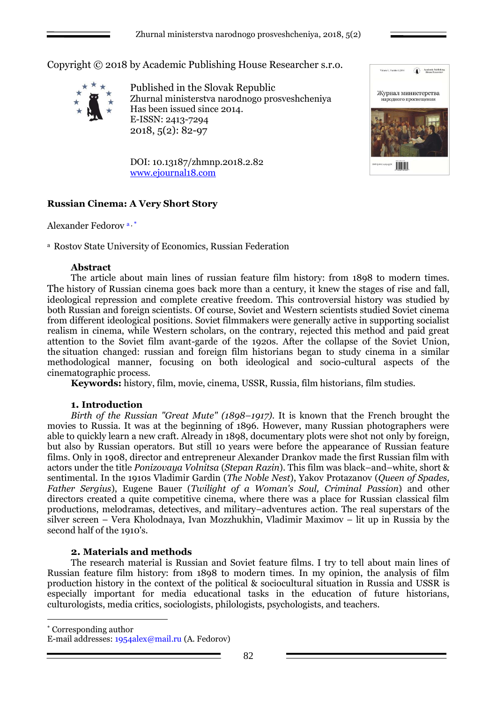Copyright © 2018 by Academic Publishing House Researcher s.r.o.



Published in the Slovak Republic Zhurnal ministerstva narodnogo prosveshcheniya Has been issued since 2014. E-ISSN: 2413-7294 2018, 5(2): 82-97



Academic Publishi

DOI: 10.13187/zhmnp.2018.2.82 [www.ejournal18.com](http://www.ejournal18.com/)

# **Russian Cinema: A Very Short Story**

Alexander Fedorov<sup>a,\*</sup>

<sup>a</sup> Rostov State University of Economics, Russian Federation

### **Abstract**

The article about main lines of russian feature film history: from 1898 to modern times. The history of Russian cinema goes back more than a century, it knew the stages of rise and fall, ideological repression and complete creative freedom. This controversial history was studied by both Russian and foreign scientists. Of course, Soviet and Western scientists studied Soviet cinema from different ideological positions. Soviet filmmakers were generally active in supporting socialist realism in cinema, while Western scholars, on the contrary, rejected this method and paid great attention to the Soviet film avant-garde of the 1920s. After the collapse of the Soviet Union, the situation changed: russian and foreign film historians began to study cinema in a similar methodological manner, focusing on both ideological and socio-cultural aspects of the cinematographic process.

**Keywords:** history, film, movie, cinema, USSR, Russia, film historians, film studies.

### **1. Introduction**

*Birth of the Russian "Great Mute" (1898–1917).* It is known that the French brought the movies to Russia. It was at the beginning of 1896. However, many Russian photographers were able to quickly learn a new craft. Already in 1898, documentary plots were shot not only by foreign, but also by Russian operators. But still 10 years were before the appearance of Russian feature films. Only in 1908, director and entrepreneur Alexander Drankov made the first Russian film with actors under the title *Ponizovaya Volnitsa* (*Stepan Razin*). This film was black–and–white, short & sentimental. In the 1910s Vladimir Gardin (*The Noble Nest*), Yakov Protazanov (*Queen of Spades, Father Sergius*), Eugene Bauer (*Twilight of a Woman's Soul, Criminal Passion*) and other directors created a quite competitive cinema, where there was a place for Russian classical film productions, melodramas, detectives, and military–adventures action. The real superstars of the silver screen – Vera Kholodnaya, Ivan Mozzhukhin, Vladimir Maximov – lit up in Russia by the second half of the 1910's.

### **2. Materials and methods**

The research material is Russian and Soviet feature films. I try to tell about main lines of Russian feature film history: from 1898 to modern times. In my opinion, the analysis of film production history in the context of the political & sociocultural situation in Russia and USSR is especially important for media educational tasks in the education of future historians, culturologists, media critics, sociologists, philologists, psychologists, and teachers.

Corresponding author

<u>.</u>

E-mail addresses: [1954alex@mail.ru](mailto:1954alex@mail.ru) (A. Fedorov)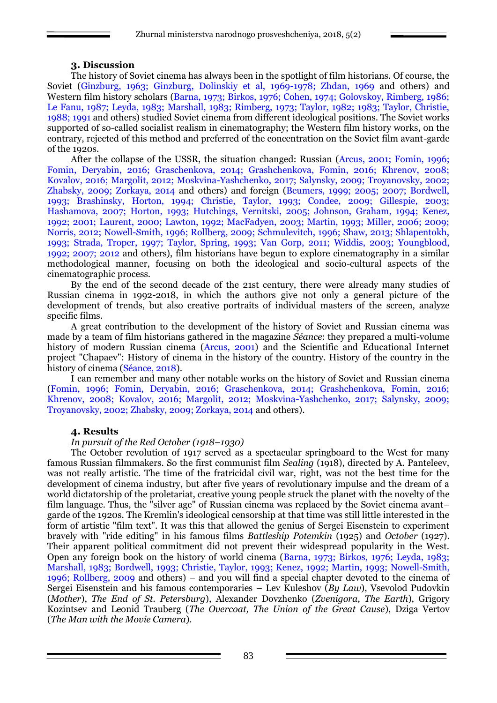### **3. Discussion**

The history of Soviet cinema has always been in the spotlight of film historians. Of course, the Soviet (Ginzburg, 1963; Ginzburg, Dolinskiy et al, 1969-1978; Zhdan, 1969 and others) and Western film history scholars (Barna, 1973; Birkos, 1976; Cohen, 1974; Golovskoy, Rimberg, 1986; Le Fanu, 1987; Leyda, 1983; Marshall, 1983; Rimberg, 1973; Taylor, 1982; 1983; Taylor, Christie, 1988; 1991 and others) studied Soviet cinema from different ideological positions. The Soviet works supported of so-called socialist realism in cinematography; the Western film history works, on the contrary, rejected of this method and preferred of the concentration on the Soviet film avant-garde of the 1920s.

After the collapse of the USSR, the situation changed: Russian (Arcus, 2001; Fomin, 1996; Fomin, Deryabin, 2016; Graschenkova, 2014; Grashchenkova, Fomin, 2016; Khrenov, 2008; Kovalov, 2016; Margolit, 2012; Moskvina-Yashchenko, 2017; Salynsky, 2009; Troyanovsky, 2002; Zhabsky, 2009; Zorkaya, 2014 and others) and foreign (Beumers, 1999; 2005; 2007; Bordwell, 1993; Brashinsky, Horton, 1994; Christie, Taylor, 1993; Condee, 2009; Gillespie, 2003; Hashamova, 2007; Horton, 1993; Hutchings, Vernitski, 2005; Johnson, Graham, 1994; Kenez, 1992; 2001; Laurent, 2000; Lawton, 1992; MacFadyen, 2003; Martin, 1993; Miller, 2006; 2009; Norris, 2012; Nowell-Smith, 1996; Rollberg, 2009; Schmulevitch, 1996; Shaw, 2013; Shlapentokh, 1993; Strada, Troper, 1997; Taylor, Spring, 1993; Van Gorp, 2011; Widdis, 2003; Youngblood, 1992; 2007; 2012 and others), film historians have begun to explore cinematography in a similar methodological manner, focusing on both the ideological and socio-cultural aspects of the cinematographic process.

By the end of the second decade of the 21st century, there were already many studies of Russian cinema in 1992-2018, in which the authors give not only a general picture of the development of trends, but also creative portraits of individual masters of the screen, analyze specific films.

A great contribution to the development of the history of Soviet and Russian cinema was made by a team of film historians gathered in the magazine *Séance*: they prepared a multi-volume history of modern Russian cinema (Arcus, 2001) and the Scientific and Educational Internet project "Chapaev": History of cinema in the history of the country. History of the country in the history of cinema (Séance, 2018).

I can remember and many other notable works on the history of Soviet and Russian cinema (Fomin, 1996; Fomin, Deryabin, 2016; Graschenkova, 2014; Grashchenkova, Fomin, 2016; Khrenov, 2008; Kovalov, 2016; Margolit, 2012; Moskvina-Yashchenko, 2017; Salynsky, 2009; Troyanovsky, 2002; Zhabsky, 2009; Zorkaya, 2014 and others).

### **4. Results**

### *In pursuit of the Red October (1918–1930)*

The October revolution of 1917 served as a spectacular springboard to the West for many famous Russian filmmakers. So the first communist film *Sealing* (1918), directed by A. Panteleev, was not really artistic. The time of the fratricidal civil war, right, was not the best time for the development of cinema industry, but after five years of revolutionary impulse and the dream of a world dictatorship of the proletariat, creative young people struck the planet with the novelty of the film language. Thus, the "silver age" of Russian cinema was replaced by the Soviet cinema avant– garde of the 1920s. The Kremlin's ideological censorship at that time was still little interested in the form of artistic "film text". It was this that allowed the genius of Sergei Eisenstein to experiment bravely with "ride editing" in his famous films *Battleship Potemkin* (1925) and *October* (1927). Their apparent political commitment did not prevent their widespread popularity in the West. Open any foreign book on the history of world cinema (Barna, 1973; Birkos, 1976; Leyda, 1983; Marshall, 1983; Bordwell, 1993; Christie, Taylor, 1993; Kenez, 1992; Martin, 1993; Nowell-Smith, 1996; Rollberg, 2009 and others) – and you will find a special chapter devoted to the cinema of Sergei Eisenstein and his famous contemporaries – Lev Kuleshov (*By Law*), Vsevolod Pudovkin (*Mother*), *The End of St. Petersburg*), Alexander Dovzhenko (*Zvenigora, The Earth*), Grigory Kozintsev and Leonid Trauberg (*The Overcoat, The Union of the Great Cause*), Dziga Vertov (*The Man with the Movie Camera*).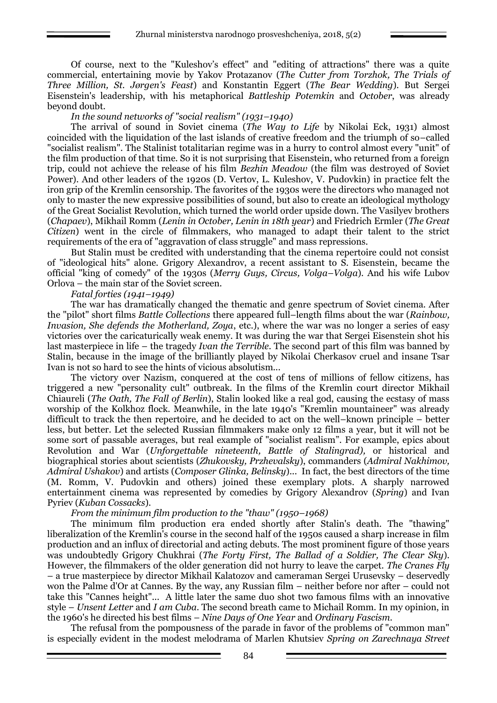Of course, next to the "Kuleshov's effect" and "editing of attractions" there was a quite commercial, entertaining movie by Yakov Protazanov (*The Cutter from Torzhok, The Trials of Three Million, St. Jørgen's Feast*) and Konstantin Eggert (*The Bear Wedding*). But Sergei Eisenstein's leadership, with his metaphorical *Battleship Potemkin* and *October*, was already beyond doubt.

*In the sound networks of "social realism" (1931–1940)*

The arrival of sound in Soviet cinema (*The Way to Life* by Nikolai Eck, 1931) almost coincided with the liquidation of the last islands of creative freedom and the triumph of so–called "socialist realism". The Stalinist totalitarian regime was in a hurry to control almost every "unit" of the film production of that time. So it is not surprising that Eisenstein, who returned from a foreign trip, could not achieve the release of his film *Bezhin Meadow* (the film was destroyed of Soviet Power). And other leaders of the 1920s (D. Vertov, L. Kuleshov, V. Pudovkin) in practice felt the iron grip of the Kremlin censorship. The favorites of the 1930s were the directors who managed not only to master the new expressive possibilities of sound, but also to create an ideological mythology of the Great Socialist Revolution, which turned the world order upside down. The Vasilyev brothers (*Chapaev*), Mikhail Romm (*Lenin in October, Lenin in 18th year*) and Friedrich Ermler (*The Great Citizen*) went in the circle of filmmakers, who managed to adapt their talent to the strict requirements of the era of "aggravation of class struggle" and mass repressions.

But Stalin must be credited with understanding that the cinema repertoire could not consist of "ideological hits" alone. Grigory Alexandrov, a recent assistant to S. Eisenstein, became the official "king of comedy" of the 1930s (*Merry Guys, Circus, Volga–Volga*). And his wife Lubov Orlova – the main star of the Soviet screen.

*Fatal forties (1941–1949)*

The war has dramatically changed the thematic and genre spectrum of Soviet cinema. After the "pilot" short films *Battle Collections* there appeared full–length films about the war (*Rainbow, Invasion, She defends the Motherland, Zoya, etc.), where the war was no longer a series of easy* victories over the caricaturically weak enemy. It was during the war that Sergei Eisenstein shot his last masterpiece in life – the tragedy *Ivan the Terrible*. The second part of this film was banned by Stalin, because in the image of the brilliantly played by Nikolai Cherkasov cruel and insane Tsar Ivan is not so hard to see the hints of vicious absolutism...

The victory over Nazism, conquered at the cost of tens of millions of fellow citizens, has triggered a new "personality cult" outbreak. In the films of the Kremlin court director Mikhail Chiaureli (*The Oath, The Fall of Berlin*), Stalin looked like a real god, causing the ecstasy of mass worship of the Kolkhoz flock. Meanwhile, in the late 1940's "Kremlin mountaineer" was already difficult to track the then repertoire, and he decided to act on the well–known principle – better less, but better. Let the selected Russian filmmakers make only 12 films a year, but it will not be some sort of passable averages, but real example of "socialist realism". For example, epics about Revolution and War (*Unforgettable nineteenth, Battle of Stalingrad),* or historical and biographical stories about scientists (*Zhukovsky, Przhevalsky*), commanders (*Admiral Nakhimov, Admiral Ushakov*) and artists (*Composer Glinka, Belinsky*)... In fact, the best directors of the time (M. Romm, V. Pudovkin and others) joined these exemplary plots. A sharply narrowed entertainment cinema was represented by comedies by Grigory Alexandrov (*Spring*) and Ivan Pyriev (*Kuban Cossacks*).

*From the minimum film production to the "thaw" (1950–1968)*

The minimum film production era ended shortly after Stalin's death. The "thawing" liberalization of the Kremlin's course in the second half of the 1950s caused a sharp increase in film production and an influx of directorial and acting debuts. The most prominent figure of those years was undoubtedly Grigory Chukhrai (*The Forty First, The Ballad of a Soldier, The Clear Sky*). However, the filmmakers of the older generation did not hurry to leave the carpet. *The Cranes Fly* – a true masterpiece by director Mikhail Kalatozov and cameraman Sergei Urusevsky – deservedly won the Palme d'Or at Cannes. By the way, any Russian film – neither before nor after – could not take this "Cannes height"... A little later the same duo shot two famous films with an innovative style – *Unsent Letter* and *I am Cuba*. The second breath came to Michail Romm. In my opinion, in the 1960's he directed his best films – *Nine Days of One Year* and *Ordinary Fascism.*

The refusal from the pompousness of the parade in favor of the problems of "common man" is especially evident in the modest melodrama of Marlen Khutsiev *Spring on Zarechnaya Street*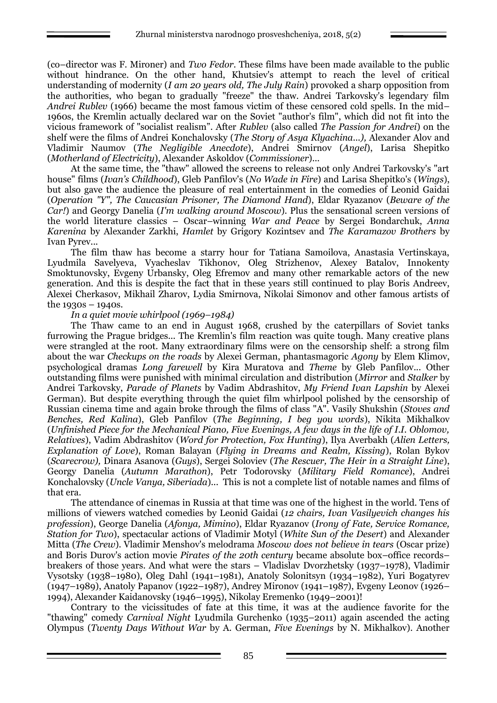(co–director was F. Mironer) and *Two Fedor*. These films have been made available to the public without hindrance. On the other hand, Khutsiev's attempt to reach the level of critical understanding of modernity (*I am 20 years old, The July Rain*) provoked a sharp opposition from the authorities, who began to gradually "freeze" the thaw. Andrei Tarkovsky's legendary film *Andrei Rublev* (1966) became the most famous victim of these censored cold spells. In the mid– 1960s, the Kremlin actually declared war on the Soviet "author's film", which did not fit into the vicious framework of "socialist realism". After *Rublev* (also called *The Passion for Andrei*) on the shelf were the films of Andrei Konchalovsky (*The Story of Asya Klyachina...),* Alexander Alov and Vladimir Naumov (*The Negligible Anecdote*), Andrei Smirnov (*Angel*), Larisa Shepitko (*Motherland of Electricity*), Alexander Askoldov (*Commissioner*)...

At the same time, the "thaw" allowed the screens to release not only Andrei Tarkovsky's "art house" films (*Ivan's Childhood*), Gleb Panfilov's (*No Wade in Fire*) and Larisa Shepitko's (*Wings*), but also gave the audience the pleasure of real entertainment in the comedies of Leonid Gaidai (*Operation "Y", The Caucasian Prisoner, The Diamond Hand*), Eldar Ryazanov (*Beware of the Car!*) and Georgy Danelia (*I'm walking around Moscow*). Plus the sensational screen versions of the world literature classics – Oscar–winning *War and Peace* by Sergei Bondarchuk, *Anna Karenina* by Alexander Zarkhi, *Hamlet* by Grigory Kozintsev and *The Karamazov Brothers* by Ivan Pyrev...

The film thaw has become a starry hour for Tatiana Samoilova, Anastasia Vertinskaya, Lyudmila Savelyeva, Vyacheslav Tikhonov, Oleg Strizhenov, Alexey Batalov, Innokenty Smoktunovsky, Evgeny Urbansky, Oleg Efremov and many other remarkable actors of the new generation. And this is despite the fact that in these years still continued to play Boris Andreev, Alexei Cherkasov, Mikhail Zharov, Lydia Smirnova, Nikolai Simonov and other famous artists of the  $1930s - 1940s$ .

#### *In a quiet movie whirlpool (1969–1984)*

The Thaw came to an end in August 1968, crushed by the caterpillars of Soviet tanks furrowing the Prague bridges... The Kremlin's film reaction was quite tough. Many creative plans were strangled at the root. Many extraordinary films were on the censorship shelf: a strong film about the war *Checkups on the roads* by Alexei German, phantasmagoric *Agony* by Elem Klimov, psychological dramas *Long farewell* by Kira Muratova and *Theme* by Gleb Panfilov... Other outstanding films were punished with minimal circulation and distribution (*Mirror* and *Stalker* by Andrei Tarkovsky, *Parade of Planets* by Vadim Abdrashitov, *My Friend Ivan Lapshin* by Alexei German). But despite everything through the quiet film whirlpool polished by the censorship of Russian cinema time and again broke through the films of class "A". Vasily Shukshin (*Stoves and Benches, Red Kalina*), Gleb Panfilov (*The Beginning, I beg you words*), Nikita Mikhalkov (*Unfinished Piece for the Mechanical Piano, Five Evenings, A few days in the life of I.I. Oblomov, Relatives*), Vadim Abdrashitov (*Word for Protection, Fox Hunting*), Ilya Averbakh (*Alien Letters, Explanation of Love*), Roman Balayan (*Flying in Dreams and Realm, Kissing*), Rolan Bykov (*Scarecrow),* Dinara Asanova (*Guys*), Sergei Soloviev (*The Rescuer, The Heir in a Straight Line*), Georgy Danelia (*Autumn Marathon*), Petr Todorovsky (*Military Field Romance*), Andrei Konchalovsky (*Uncle Vanya, Siberiada*)... This is not a complete list of notable names and films of that era.

The attendance of cinemas in Russia at that time was one of the highest in the world. Tens of millions of viewers watched comedies by Leonid Gaidai (*12 chairs, Ivan Vasilyevich changes his profession*), George Danelia (*Afonya, Mimino*), Eldar Ryazanov (*Irony of Fate, Service Romance, Station for Two*), spectacular actions of Vladimir Motyl (*White Sun of the Desert*) and Alexander Mitta (*The Crew*). Vladimir Menshov's melodrama *Moscow does not believe in tears* (Oscar prize) and Boris Durov's action movie *Pirates of the 20th century* became absolute box–office records– breakers of those years. And what were the stars – Vladislav Dvorzhetsky (1937–1978), Vladimir Vysotsky (1938–1980), Oleg Dahl (1941–1981), Anatoly Solonitsyn (1934–1982), Yuri Bogatyrev (1947–1989), Anatoly Papanov (1922–1987), Andrey Mironov (1941–1987), Evgeny Leonov (1926– 1994), Alexander Kaidanovsky (1946–1995), Nikolay Eremenko (1949–2001)!

Contrary to the vicissitudes of fate at this time, it was at the audience favorite for the "thawing" comedy *Carnival Night* Lyudmila Gurchenko (1935–2011) again ascended the acting Olympus (*Twenty Days Without War* by A. German, *Five Evenings* by N. Mikhalkov). Another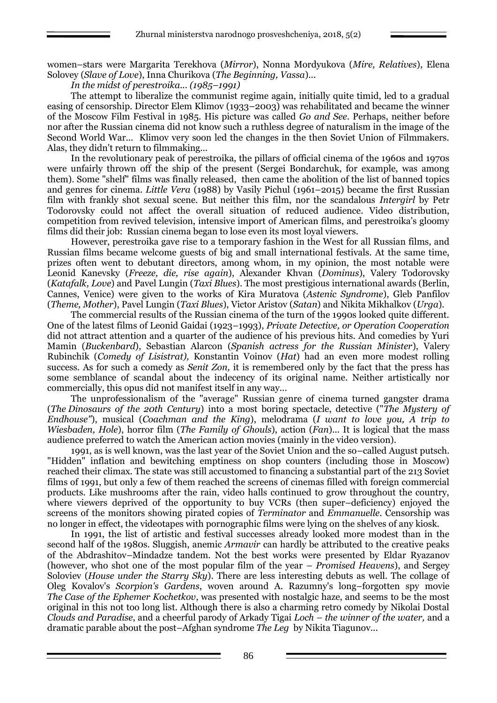women–stars were Margarita Terekhova (*Mirror*), Nonna Mordyukova (*Mire, Relatives*), Elena Solovey (*Slave of Love*), Inna Churikova (*The Beginning, Vassa*)...

*In the midst of perestroika... (1985–1991)*

The attempt to liberalize the communist regime again, initially quite timid, led to a gradual easing of censorship. Director Elem Klimov (1933–2003) was rehabilitated and became the winner of the Moscow Film Festival in 1985. His picture was called *Go and See*. Perhaps, neither before nor after the Russian cinema did not know such a ruthless degree of naturalism in the image of the Second World War... Klimov very soon led the changes in the then Soviet Union of Filmmakers. Alas, they didn't return to filmmaking...

In the revolutionary peak of perestroika, the pillars of official cinema of the 1960s and 1970s were unfairly thrown off the ship of the present (Sergei Bondarchuk, for example, was among them). Some "shelf" films was finally released, then came the abolition of the list of banned topics and genres for cinema. *Little Vera* (1988) by Vasily Pichul (1961–2015) became the first Russian film with frankly shot sexual scene. But neither this film, nor the scandalous *Intergirl* by Petr Todorovsky could not affect the overall situation of reduced audience. Video distribution, competition from revived television, intensive import of American films, and perestroika's gloomy films did their job: Russian cinema began to lose even its most loyal viewers.

However, perestroika gave rise to a temporary fashion in the West for all Russian films, and Russian films became welcome guests of big and small international festivals. At the same time, prizes often went to debutant directors, among whom, in my opinion, the most notable were Leonid Kanevsky (*Freeze, die, rise again*), Alexander Khvan (*Dominus*), Valery Todorovsky (*Katafalk, Love*) and Pavel Lungin (*Taxi Blues*). The most prestigious international awards (Berlin, Cannes, Venice) were given to the works of Kira Muratova (*Astenic Syndrome*), Gleb Panfilov (*Theme, Mother*), Pavel Lungin (*Taxi Blues*), Victor Aristov (*Satan*) and Nikita Mikhalkov (*Urga*).

The commercial results of the Russian cinema of the turn of the 1990s looked quite different. One of the latest films of Leonid Gaidai (1923–1993), *Private Detective, or Operation Cooperation* did not attract attention and a quarter of the audience of his previous hits. And comedies by Yuri Mamin (*Buckenbard*), Sebastian Alarcon (*Spanish actress for the Russian Minister*), Valery Rubinchik (*Comedy of Lisistrat),* Konstantin Voinov (*Hat*) had an even more modest rolling success. As for such a comedy as *Senit Zon,* it is remembered only by the fact that the press has some semblance of scandal about the indecency of its original name. Neither artistically nor commercially, this opus did not manifest itself in any way...

The unprofessionalism of the "average" Russian genre of cinema turned gangster drama (*The Dinosaurs of the 20th Century*) into a most boring spectacle, detective ("*The Mystery of Endhouse"*), musical (*Coachman and the King*), melodrama (*I want to love you, A trip to Wiesbaden, Hole*), horror film (*The Family of Ghouls*), action (*Fan*)... It is logical that the mass audience preferred to watch the American action movies (mainly in the video version).

1991, as is well known, was the last year of the Soviet Union and the so–called August putsch. "Hidden" inflation and bewitching emptiness on shop counters (including those in Moscow) reached their climax. The state was still accustomed to financing a substantial part of the 213 Soviet films of 1991, but only a few of them reached the screens of cinemas filled with foreign commercial products. Like mushrooms after the rain, video halls continued to grow throughout the country, where viewers deprived of the opportunity to buy VCRs (then super-deficiency) enjoyed the screens of the monitors showing pirated copies of *Terminator* and *Emmanuelle*. Censorship was no longer in effect, the videotapes with pornographic films were lying on the shelves of any kiosk.

In 1991, the list of artistic and festival successes already looked more modest than in the second half of the 1980s. Sluggish, anemic *Armavir* can hardly be attributed to the creative peaks of the Abdrashitov–Mindadze tandem. Not the best works were presented by Eldar Ryazanov (however, who shot one of the most popular film of the year – *Promised Heavens*), and Sergey Soloviev (*House under the Starry Sky*). There are less interesting debuts as well. The collage of Oleg Kovalov's *Scorpion's Gardens*, woven around A. Razumny's long–forgotten spy movie *The Case of the Ephemer Kochetkov*, was presented with nostalgic haze, and seems to be the most original in this not too long list. Although there is also a charming retro comedy by Nikolai Dostal *Clouds and Paradise*, and a cheerful parody of Arkady Tigai *Loch – the winner of the water,* and a dramatic parable about the post–Afghan syndrome *The Leg* by Nikita Tiagunov...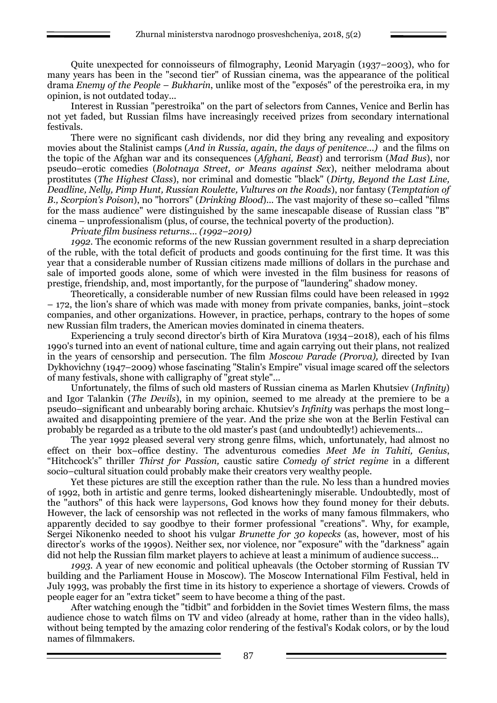Quite unexpected for connoisseurs of filmography, Leonid Maryagin (1937–2003), who for many years has been in the "second tier" of Russian cinema, was the appearance of the political drama *Enemy of the People – Bukharin*, unlike most of the "exposés" of the perestroika era, in my opinion, is not outdated today...

Interest in Russian "perestroika" on the part of selectors from Cannes, Venice and Berlin has not yet faded, but Russian films have increasingly received prizes from secondary international festivals.

There were no significant cash dividends, nor did they bring any revealing and expository movies about the Stalinist camps (*And in Russia, again, the days of penitence...)* and the films on the topic of the Afghan war and its consequences (*Afghani, Beast*) and terrorism (*Mad Bus*), nor pseudo–erotic comedies (*Bolotnaya Street, or Means against Sex*), neither melodrama about prostitutes (*The Highest Class*), nor criminal and domestic "black" (*Dirty, Beyond the Last Line, Deadline, Nelly, Pimp Hunt, Russian Roulette, Vultures on the Roads*), nor fantasy (*Temptation of B., Scorpion's Poison*), no "horrors" (*Drinking Blood*)... The vast majority of these so–called "films for the mass audience" were distinguished by the same inescapable disease of Russian class "B" cinema – unprofessionalism (plus, of course, the technical poverty of the production).

*Private film business returns... (1992–2019)*

*1992.* The economic reforms of the new Russian government resulted in a sharp depreciation of the ruble, with the total deficit of products and goods continuing for the first time. It was this year that a considerable number of Russian citizens made millions of dollars in the purchase and sale of imported goods alone, some of which were invested in the film business for reasons of prestige, friendship, and, most importantly, for the purpose of "laundering" shadow money.

Theoretically, a considerable number of new Russian films could have been released in 1992 – 172, the lion's share of which was made with money from private companies, banks, joint–stock companies, and other organizations. However, in practice, perhaps, contrary to the hopes of some new Russian film traders, the American movies dominated in cinema theaters.

Experiencing a truly second director's birth of Kira Muratova (1934–2018), each of his films 1990's turned into an event of national culture, time and again carrying out their plans, not realized in the years of censorship and persecution. The film *Moscow Parade (Prorva),* directed by Ivan Dykhovichny (1947–2009) whose fascinating "Stalin's Empire" visual image scared off the selectors of many festivals, shone with calligraphy of "great style"...

Unfortunately, the films of such old masters of Russian cinema as Marlen Khutsiev (*Infinity*) and Igor Talankin (*The Devils*), in my opinion, seemed to me already at the premiere to be a pseudo–significant and unbearably boring archaic. Khutsiev's *Infinity* was perhaps the most long– awaited and disappointing premiere of the year. And the prize she won at the Berlin Festival can probably be regarded as a tribute to the old master's past (and undoubtedly!) achievements...

The year 1992 pleased several very strong genre films, which, unfortunately, had almost no effect on their box–office destiny. The adventurous comedies *Meet Me in Tahiti, Genius*, "Hitchcock's" thriller *Thirst for Passion,* caustic satire *Comedy of strict regime* in a different socio–cultural situation could probably make their creators very wealthy people.

Yet these pictures are still the exception rather than the rule. No less than a hundred movies of 1992, both in artistic and genre terms, looked dishearteningly miserable. Undoubtedly, most of the "authors" of this hack were laypersons, God knows how they found money for their debuts. However, the lack of censorship was not reflected in the works of many famous filmmakers, who apparently decided to say goodbye to their former professional "creations". Why, for example, Sergei Nikonenko needed to shoot his vulgar *Brunette for 30 kopecks* (as, however, most of his director's works of the 1990s). Neither sex, nor violence, nor "exposure" with the "darkness" again did not help the Russian film market players to achieve at least a minimum of audience success...

*1993.* A year of new economic and political upheavals (the October storming of Russian TV building and the Parliament House in Moscow). The Moscow International Film Festival, held in July 1993, was probably the first time in its history to experience a shortage of viewers. Crowds of people eager for an "extra ticket" seem to have become a thing of the past.

After watching enough the "tidbit" and forbidden in the Soviet times Western films, the mass audience chose to watch films on TV and video (already at home, rather than in the video halls), without being tempted by the amazing color rendering of the festival's Kodak colors, or by the loud names of filmmakers.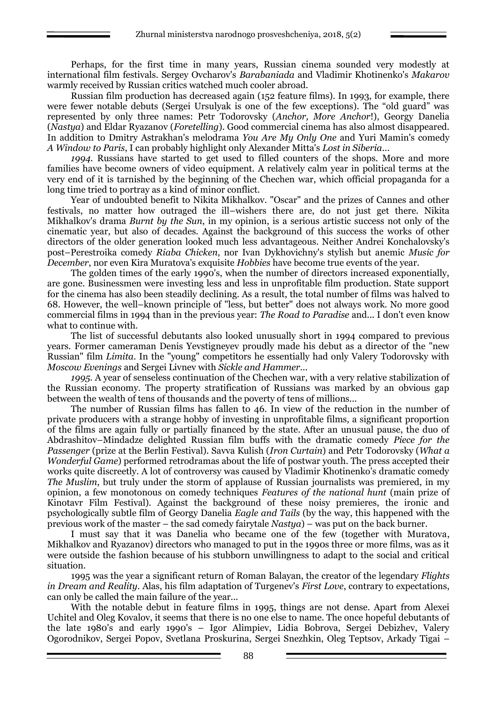Perhaps, for the first time in many years, Russian cinema sounded very modestly at international film festivals. Sergey Ovcharov's *Barabaniada* and Vladimir Khotinenko's *Makarov*  warmly received by Russian critics watched much cooler abroad.

Russian film production has decreased again (152 feature films). In 1993, for example, there were fewer notable debuts (Sergei Ursulyak is one of the few exceptions). The "old guard" was represented by only three names: Petr Todorovsky (*Anchor, More Anchor*!), Georgy Danelia (*Nastya*) and Eldar Ryazanov (*Foretelling*). Good commercial cinema has also almost disappeared. In addition to Dmitry Astrakhan's melodrama *You Are My Only One* and Yuri Mamin's comedy *A Window to Paris*, I can probably highlight only Alexander Mitta's *Lost in Siberia*...

*1994.* Russians have started to get used to filled counters of the shops. More and more families have become owners of video equipment. A relatively calm year in political terms at the very end of it is tarnished by the beginning of the Chechen war, which official propaganda for a long time tried to portray as a kind of minor conflict.

Year of undoubted benefit to Nikita Mikhalkov. "Oscar" and the prizes of Cannes and other festivals, no matter how outraged the ill–wishers there are, do not just get there. Nikita Mikhalkov's drama *Burnt by the Sun*, in my opinion, is a serious artistic success not only of the cinematic year, but also of decades. Against the background of this success the works of other directors of the older generation looked much less advantageous. Neither Andrei Konchalovsky's post–Perestroika comedy *Riaba Chicken*, nor Ivan Dykhovichny's stylish but anemic *Music for December*, nor even Kira Muratova's exquisite *Hobbies* have become true events of the year.

The golden times of the early 1990's, when the number of directors increased exponentially, are gone. Businessmen were investing less and less in unprofitable film production. State support for the cinema has also been steadily declining. As a result, the total number of films was halved to 68. However, the well–known principle of "less, but better" does not always work. No more good commercial films in 1994 than in the previous year: *The Road to Paradise* and... I don't even know what to continue with.

The list of successful debutants also looked unusually short in 1994 compared to previous years. Former cameraman Denis Yevstigneyev proudly made his debut as a director of the "new Russian" film *Limita*. In the "young" competitors he essentially had only Valery Todorovsky with *Moscow Evenings* and Sergei Livnev with *Sickle and Hammer*...

*1995.* A year of senseless continuation of the Chechen war, with a very relative stabilization of the Russian economy. The property stratification of Russians was marked by an obvious gap between the wealth of tens of thousands and the poverty of tens of millions...

The number of Russian films has fallen to 46. In view of the reduction in the number of private producers with a strange hobby of investing in unprofitable films, a significant proportion of the films are again fully or partially financed by the state. After an unusual pause, the duo of Abdrashitov–Mindadze delighted Russian film buffs with the dramatic comedy *Piece for the Passenger* (prize at the Berlin Festival). Savva Kulish (*Iron Curtain*) and Petr Todorovsky (*What a Wonderful Game*) performed retrodramas about the life of postwar youth. The press accepted their works quite discreetly. A lot of controversy was caused by Vladimir Khotinenko's dramatic comedy *The Muslim*, but truly under the storm of applause of Russian journalists was premiered, in my opinion, a few monotonous on comedy techniques *Features of the national hunt* (main prize of Kinotavr Film Festival). Against the background of these noisy premieres, the ironic and psychologically subtle film of Georgy Danelia *Eagle and Tails* (by the way, this happened with the previous work of the master – the sad comedy fairytale *Nastya*) – was put on the back burner.

I must say that it was Danelia who became one of the few (together with Muratova, Mikhalkov and Ryazanov) directors who managed to put in the 1990s three or more films, was as it were outside the fashion because of his stubborn unwillingness to adapt to the social and critical situation.

1995 was the year a significant return of Roman Balayan, the creator of the legendary *Flights in Dream and Reality*. Alas, his film adaptation of Turgenev's *First Love*, contrary to expectations, can only be called the main failure of the year...

With the notable debut in feature films in 1995, things are not dense. Apart from Alexei Uchitel and Oleg Kovalov, it seems that there is no one else to name. The once hopeful debutants of the late 1980's and early 1990's – Igor Alimpiev, Lidia Bobrova, Sergei Debizhev, Valery Ogorodnikov, Sergei Popov, Svetlana Proskurina, Sergei Snezhkin, Oleg Teptsov, Arkady Tigai –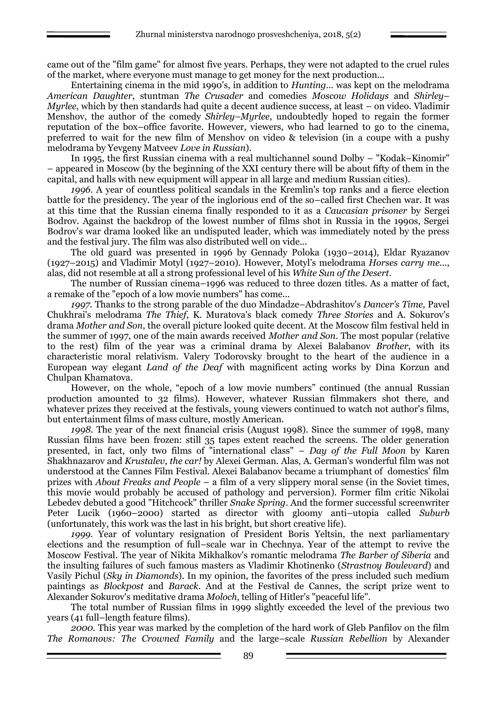came out of the "film game" for almost five years. Perhaps, they were not adapted to the cruel rules of the market, where everyone must manage to get money for the next production...

Entertaining cinema in the mid 1990's, in addition to *Hunting...* was kept on the melodrama *American Daughter*, stuntman *The Crusader* and comedies *Moscow Holidays* and *Shirley– Myrlee*, which by then standards had quite a decent audience success, at least – on video. Vladimir Menshov, the author of the comedy *Shirley–Myrlee*, undoubtedly hoped to regain the former reputation of the box–office favorite. However, viewers, who had learned to go to the cinema, preferred to wait for the new film of Menshov on video & television (in a coupe with a pushy melodrama by Yevgeny Matveev *Love in Russian*).

In 1995, the first Russian cinema with a real multichannel sound Dolby – "Kodak–Kinomir" – appeared in Moscow (by the beginning of the XXI century there will be about fifty of them in the capital, and halls with new equipment will appear in all large and medium Russian cities).

*1996.* A year of countless political scandals in the Kremlin's top ranks and a fierce election battle for the presidency. The year of the inglorious end of the so–called first Chechen war. It was at this time that the Russian cinema finally responded to it as a *Caucasian prisoner* by Sergei Bodrov. Against the backdrop of the lowest number of films shot in Russia in the 1990s, Sergei Bodrov's war drama looked like an undisputed leader, which was immediately noted by the press and the festival jury. The film was also distributed well on vide...

The old guard was presented in 1996 by Gennady Poloka (1930–2014), Eldar Ryazanov (1927–2015) and Vladimir Motyl (1927–2010). However, Motyl's melodrama *Horses carry me...*, alas, did not resemble at all a strong professional level of his *White Sun of the Desert*.

The number of Russian cinema–1996 was reduced to three dozen titles. As a matter of fact, a remake of the "epoch of a low movie numbers" has come...

*1997.* Thanks to the strong parable of the duo Mindadze–Abdrashitov's *Dancer's Time,* Pavel Chukhrai's melodrama *The Thief*, K. Muratova's black comedy *Three Stories* and A. Sokurov's drama *Mother and Son*, the overall picture looked quite decent. At the Moscow film festival held in the summer of 1997, one of the main awards received *Mother and Son*. The most popular (relative to the rest) film of the year was a criminal drama by Alexei Balabanov *Brother*, with its characteristic moral relativism. Valery Todorovsky brought to the heart of the audience in a European way elegant *Land of the Deaf* with magnificent acting works by Dina Korzun and Chulpan Khamatova.

However, on the whole, "epoch of a low movie numbers" continued (the annual Russian production amounted to 32 films). However, whatever Russian filmmakers shot there, and whatever prizes they received at the festivals, young viewers continued to watch not author's films, but entertainment films of mass culture, mostly American.

*1998.* The year of the next financial crisis (August 1998). Since the summer of 1998, many Russian films have been frozen: still 35 tapes extent reached the screens. The older generation presented, in fact, only two films of "international class" – *Day of the Full Moon* by Karen Shakhnazarov and *Krustalev, the car!* by Alexei German. Alas, A. German's wonderful film was not understood at the Cannes Film Festival. Alexei Balabanov became a triumphant of domestics' film prizes with *About Freaks and People* – a film of a very slippery moral sense (in the Soviet times, this movie would probably be accused of pathology and perversion). Former film critic Nikolai Lebedev debuted a good "Hitchcock" thriller *Snake Spring*. And the former successful screenwriter Peter Lucik (1960–2000) started as director with gloomy anti–utopia called *Suburb* (unfortunately, this work was the last in his bright, but short creative life).

*1999.* Year of voluntary resignation of President Boris Yeltsin, the next parliamentary elections and the resumption of full–scale war in Chechnya. Year of the attempt to revive the Moscow Festival. The year of Nikita Mikhalkov's romantic melodrama *The Barber of Siberia* and the insulting failures of such famous masters as Vladimir Khotinenko (*Strastnoy Boulevard*) and Vasily Pichul (*Sky in Diamonds*). In my opinion, the favorites of the press included such medium paintings as *Blockpost* and *Barack.* And at the Festival de Cannes, the script prize went to Alexander Sokurov's meditative drama *Moloch*, telling of Hitler's "peaceful life".

The total number of Russian films in 1999 slightly exceeded the level of the previous two years (41 full–length feature films).

*2000.* This year was marked by the completion of the hard work of Gleb Panfilov on the film *The Romanovs: The Crowned Family* and the large–scale *Russian Rebellion* by Alexander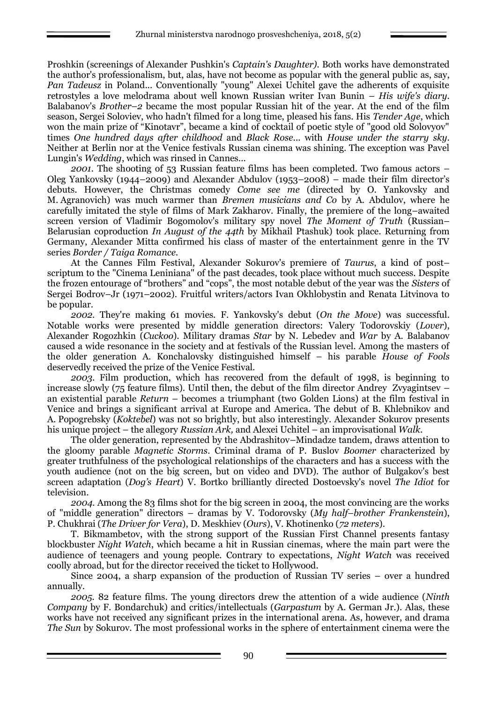Proshkin (screenings of Alexander Pushkin's *Captain's Daughter).* Both works have demonstrated the author's professionalism, but, alas, have not become as popular with the general public as, say, *Pan Tadeusz* in Poland... Conventionally "young" Alexei Uchitel gave the adherents of exquisite retrostyles a love melodrama about well known Russian writer Ivan Bunin – *His wife's diary*. Balabanov's *Brother–2* became the most popular Russian hit of the year. At the end of the film season, Sergei Soloviev, who hadn't filmed for a long time, pleased his fans. His *Tender Age*, which won the main prize of "Kinotavr", became a kind of cocktail of poetic style of "good old Solovyov" times *One hundred days after childhood* and *Black Rose*... with *House under the starry sky*. Neither at Berlin nor at the Venice festivals Russian cinema was shining. The exception was Pavel Lungin's *Wedding*, which was rinsed in Cannes...

*2001.* The shooting of 53 Russian feature films has been completed. Two famous actors – Oleg Yankovsky (1944–2009) and Alexander Abdulov (1953–2008) – made their film director's debuts. However, the Christmas comedy *Come see me* (directed by O. Yankovsky and M. Agranovich) was much warmer than *Bremen musicians and Co* by A. Abdulov, where he carefully imitated the style of films of Mark Zakharov. Finally, the premiere of the long–awaited screen version of Vladimir Bogomolov's military spy novel *The Moment of Truth* (Russian– Belarusian coproduction *In August of the 44th* by Mikhail Ptashuk) took place. Returning from Germany, Alexander Mitta confirmed his class of master of the entertainment genre in the TV series *Border / Taiga Romance.*

At the Cannes Film Festival, Alexander Sokurov's premiere of *Taurus*, a kind of post– scriptum to the "Cinema Leniniana" of the past decades, took place without much success. Despite the frozen entourage of "brothers" and "cops", the most notable debut of the year was the *Sisters* of Sergei Bodrov–Jr (1971–2002). Fruitful writers/actors Ivan Okhlobystin and Renata Litvinova to be popular.

*2002.* They're making 61 movies. F. Yankovsky's debut (*On the Move*) was successful. Notable works were presented by middle generation directors: Valery Todorovskiy (*Lover*), Alexander Rogozhkin (*Cuckoo*). Military dramas *Star* by N. Lebedev and *War* by A. Balabanov caused a wide resonance in the society and at festivals of the Russian level. Among the masters of the older generation A. Konchalovsky distinguished himself – his parable *House of Fools* deservedly received the prize of the Venice Festival.

*2003*. Film production, which has recovered from the default of 1998, is beginning to increase slowly ( $75$  feature films). Until then, the debut of the film director Andrey Zvyagintsev – an existential parable *Return* – becomes a triumphant (two Golden Lions) at the film festival in Venice and brings a significant arrival at Europe and America. The debut of B. Khlebnikov and A. Popogrebsky (*Koktebel*) was not so brightly, but also interestingly. Alexander Sokurov presents his unique project – the allegory *Russian Ark,* and Alexei Uchitel – an improvisational *Walk*.

The older generation, represented by the Abdrashitov–Mindadze tandem, draws attention to the gloomy parable *Magnetic Storms*. Criminal drama of P. Buslov *Boomer* characterized by greater truthfulness of the psychological relationships of the characters and has a success with the youth audience (not on the big screen, but on video and DVD). The author of Bulgakov's best screen adaptation (*Dog's Heart*) V. Bortko brilliantly directed Dostoevsky's novel *The Idiot* for television.

*2004.* Among the 83 films shot for the big screen in 2004, the most convincing are the works of "middle generation" directors – dramas by V. Todorovsky (*My half–brother Frankenstein*), P. Chukhrai (*The Driver for Vera*), D. Meskhiev (*Ours*), V. Khotinenko (*72 meters*).

T. Bikmambetov, with the strong support of the Russian First Channel presents fantasy blockbuster *Night Watch*, which became a hit in Russian cinemas, where the main part were the audience of teenagers and young people. Contrary to expectations, *Night Watch* was received coolly abroad, but for the director received the ticket to Hollywood.

Since 2004, a sharp expansion of the production of Russian TV series – over a hundred annually.

*2005.* 82 feature films. The young directors drew the attention of a wide audience (*Ninth Company* by F. Bondarchuk) and critics/intellectuals (*Garpastum* by A. German Jr.). Alas, these works have not received any significant prizes in the international arena. As, however, and drama *The Sun* by Sokurov. The most professional works in the sphere of entertainment cinema were the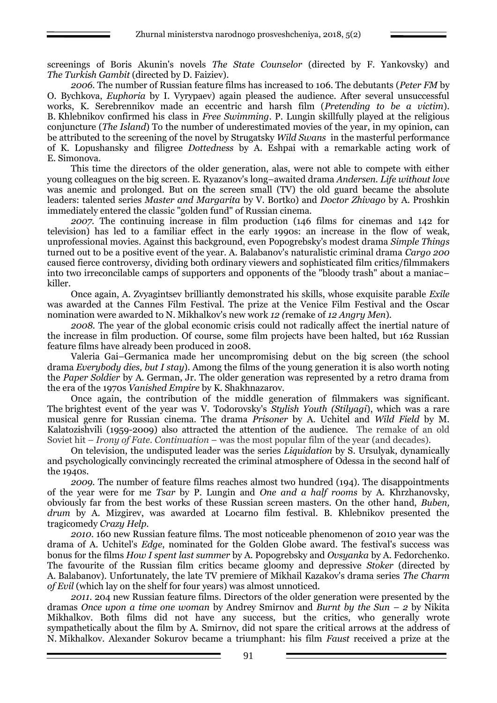screenings of Boris Akunin's novels *The State Counselor* (directed by F. Yankovsky) and *The Turkish Gambit* (directed by D. Faiziev).

*2006.* The number of Russian feature films has increased to 106. The debutants (*Peter FM* by O. Bychkova, *Euphoria* by I. Vyrypaev) again pleased the audience. After several unsuccessful works, K. Serebrennikov made an eccentric and harsh film (*Pretending to be a victim*). B. Khlebnikov confirmed his class in *Free Swimming*. P. Lungin skillfully played at the religious conjuncture (*The Island*) To the number of underestimated movies of the year, in my opinion, can be attributed to the screening of the novel by Strugatsky *Wild Swans* in the masterful performance of K. Lopushansky and filigree *Dottedness* by A. Eshpai with a remarkable acting work of E. Simonova.

This time the directors of the older generation, alas, were not able to compete with either young colleagues on the big screen. E. Ryazanov's long–awaited drama *Andersen. Life without love* was anemic and prolonged. But on the screen small (TV) the old guard became the absolute leaders: talented series *Master and Margarita* by V. Bortko) and *Doctor Zhivago* by A. Proshkin immediately entered the classic "golden fund" of Russian cinema.

*2007.* The continuing increase in film production (146 films for cinemas and 142 for television) has led to a familiar effect in the early 1990s: an increase in the flow of weak, unprofessional movies. Against this background, even Popogrebsky's modest drama *Simple Things* turned out to be a positive event of the year. A. Balabanov's naturalistic criminal drama *Cargo 200* caused fierce controversy, dividing both ordinary viewers and sophisticated film critics/filmmakers into two irreconcilable camps of supporters and opponents of the "bloody trash" about a maniac– killer.

Once again, A. Zvyagintsev brilliantly demonstrated his skills, whose exquisite parable *Exile* was awarded at the Cannes Film Festival. The prize at the Venice Film Festival and the Oscar nomination were awarded to N. Mikhalkov's new work *12 (*remake of *12 Angry Men*).

*2008.* The year of the global economic crisis could not radically affect the inertial nature of the increase in film production. Of course, some film projects have been halted, but 162 Russian feature films have already been produced in 2008.

Valeria Gai–Germanica made her uncompromising debut on the big screen (the school drama *Everybody dies, but I stay*). Among the films of the young generation it is also worth noting the *Paper Soldier* by A. German, Jr. The older generation was represented by a retro drama from the era of the 1970s *Vanished Empire* by K. Shakhnazarov.

Once again, the contribution of the middle generation of filmmakers was significant. The brightest event of the year was V. Todorovsky's *Stylish Youth (Stilyagi*), which was a rare musical genre for Russian cinema. The drama *Prisoner* by A. Uchitel and *Wild Field* by M. Kalatozishvili (1959-2009) also attracted the attention of the audience. The remake of an old Soviet hit – *Irony of Fate. Continuation* – was the most popular film of the year (and decades).

On television, the undisputed leader was the series *Liquidation* by S. Ursulyak, dynamically and psychologically convincingly recreated the criminal atmosphere of Odessa in the second half of the 1940s.

*2009.* The number of feature films reaches almost two hundred (194). The disappointments of the year were for me *Tsar* by P. Lungin and *One and a half rooms* by A. Khrzhanovsky, obviously far from the best works of these Russian screen masters. On the other hand, *Buben, drum* by A. Mizgirev, was awarded at Locarno film festival. B. Khlebnikov presented the tragicomedy *Crazy Help.*

*2010*. 160 new Russian feature films. The most noticeable phenomenon of 2010 year was the drama of A. Uchitel's *Edge*, nominated for the Golden Globe award. The festival's success was bonus for the films *How I spent last summer* by A. Popogrebsky and *Ovsyanka* by A. Fedorchenko. The favourite of the Russian film critics became gloomy and depressive *Stoker* (directed by A. Balabanov). Unfortunately, the late TV premiere of Mikhail Kazakov's drama series *The Charm of Evil* (which lay on the shelf for four years) was almost unnoticed.

*2011.* 204 new Russian feature films. Directors of the older generation were presented by the dramas *Once upon a time one woman* by Andrey Smirnov and *Burnt by the Sun – 2* by Nikita Mikhalkov. Both films did not have any success, but the critics, who generally wrote sympathetically about the film by A. Smirnov, did not spare the critical arrows at the address of N. Mikhalkov. Alexander Sokurov became a triumphant: his film *Faust* received a prize at the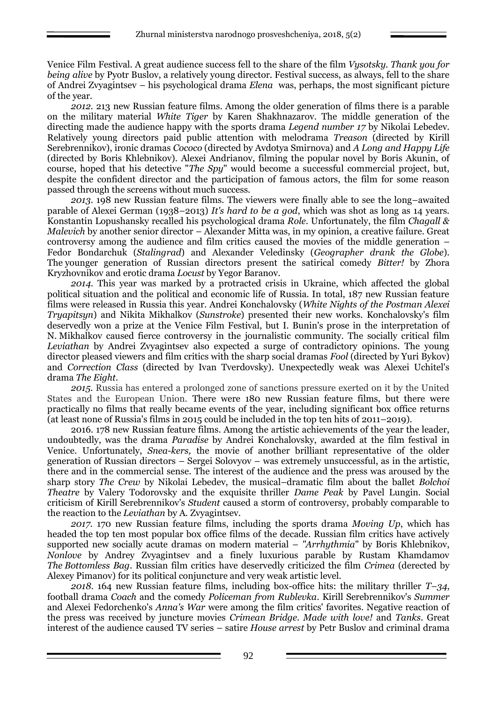Venice Film Festival. A great audience success fell to the share of the film *Vysotsky. Thank you for being alive* by Pyotr Buslov, a relatively young director. Festival success, as always, fell to the share of Andrei Zvyagintsev – his psychological drama *Elena* was, perhaps, the most significant picture of the year.

*2012.* 213 new Russian feature films. Among the older generation of films there is a parable on the military material *White Tiger* by Karen Shakhnazarov. The middle generation of the directing made the audience happy with the sports drama *Legend number 17* by Nikolai Lebedev. Relatively young directors paid public attention with melodrama *Treason* (directed by Kirill Serebrennikov), ironic dramas *Cococo* (directed by Avdotya Smirnova) and *A Long and Happy Life*  (directed by Boris Khlebnikov). Alexei Andrianov, filming the popular novel by Boris Akunin, of course, hoped that his detective "*The Spy*" would become a successful commercial project, but, despite the confident director and the participation of famous actors, the film for some reason passed through the screens without much success.

*2013*. 198 new Russian feature films. The viewers were finally able to see the long–awaited parable of Alexei German (1938–2013) *It's hard to be a god*, which was shot as long as 14 years. Konstantin Lopushansky recalled his psychological drama *Role*. Unfortunately, the film *Chagall & Malevich* by another senior director – Alexander Mitta was, in my opinion, a creative failure. Great controversy among the audience and film critics caused the movies of the middle generation – Fedor Bondarchuk (*Stalingrad*) and Alexander Veledinsky (*Geographer drank the Globe*). The younger generation of Russian directors present the satirical comedy *Bitter!* by Zhora Kryzhovnikov and erotic drama *Locust* by Yegor Baranov.

*2014*. This year was marked by a protracted crisis in Ukraine, which affected the global political situation and the political and economic life of Russia. In total, 187 new Russian feature films were released in Russia this year. Andrei Konchalovsky (*White Nights of the Postman Alexei Tryapitsyn*) and Nikita Mikhalkov (*Sunstroke*) presented their new works. Konchalovsky's film deservedly won a prize at the Venice Film Festival, but I. Bunin's prose in the interpretation of N. Mikhalkov caused fierce controversy in the journalistic community. The socially critical film *Leviathan* by Andrei Zvyagintsev also expected a surge of contradictory opinions. The young director pleased viewers and film critics with the sharp social dramas *Fool* (directed by Yuri Bykov) and *Correction Class* (directed by Ivan Tverdovsky). Unexpectedly weak was Alexei Uchitel's drama *The Eight*.

*2015.* Russia has entered a prolonged zone of sanctions pressure exerted on it by the United States and the European Union. There were 180 new Russian feature films, but there were practically no films that really became events of the year, including significant box office returns (at least none of Russia's films in 2015 could be included in the top ten hits of 2011–2019).

2016. 178 new Russian feature films. Among the artistic achievements of the year the leader, undoubtedly, was the drama *Paradise* by Andrei Konchalovsky, awarded at the film festival in Venice. Unfortunately, *Snea-kers,* the movie of another brilliant representative of the older generation of Russian directors – Sergei Solovyov – was extremely unsuccessful, as in the artistic, there and in the commercial sense. The interest of the audience and the press was aroused by the sharp story *The Crew* by Nikolai Lebedev, the musical–dramatic film about the ballet *Bolchoi Theatre* by Valery Todorovsky and the exquisite thriller *Dame Peak* by Pavel Lungin. Social criticism of Kirill Serebrennikov's *Student* caused a storm of controversy, probably comparable to the reaction to the *Leviathan* by A. Zvyagintsev.

*2017.* 170 new Russian feature films, including the sports drama *Moving Up*, which has headed the top ten most popular box office films of the decade. Russian film critics have actively supported new socially acute dramas on modern material – *"Arrhythmia*" by Boris Khlebnikov, *Nonlove* by Andrey Zvyagintsev and a finely luxurious parable by Rustam Khamdamov *The Bottomless Bag*. Russian film critics have deservedly criticized the film *Crimea* (derected by Alexey Pimanov) for its political conjuncture and very weak artistic level.

*2018.* 164 new Russian feature films, including box-office hits: the military thriller *T–34*, football drama *Coach* and the comedy *Policeman from Rublevka*. Kirill Serebrennikov's *Summer* and Alexei Fedorchenko's *Anna's War* were among the film critics' favorites. Negative reaction of the press was received by juncture movies *Crimean Bridge. Made with love!* and *Tanks*. Great interest of the audience caused TV series – satire *House arrest* by Petr Buslov and criminal drama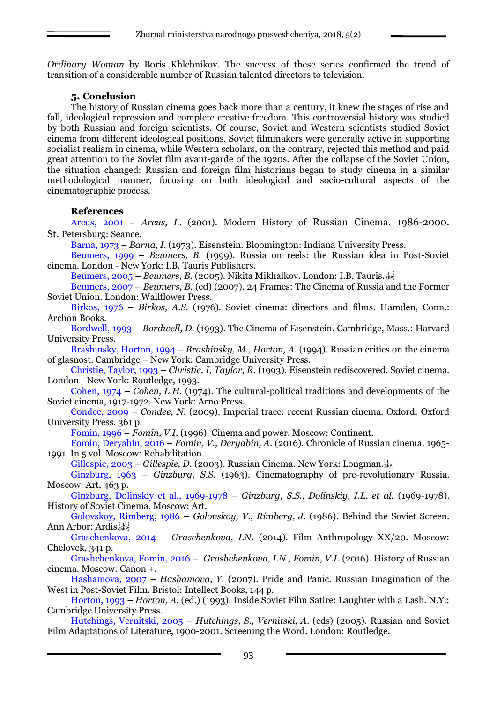*Ordinary Woman* by Boris Khlebnikov. The success of these series confirmed the trend of transition of a considerable number of Russian talented directors to television.

### **5. Conclusion**

The history of Russian cinema goes back more than a century, it knew the stages of rise and fall, ideological repression and complete creative freedom. This controversial history was studied by both Russian and foreign scientists. Of course, Soviet and Western scientists studied Soviet cinema from different ideological positions. Soviet filmmakers were generally active in supporting socialist realism in cinema, while Western scholars, on the contrary, rejected this method and paid great attention to the Soviet film avant-garde of the 1920s. After the collapse of the Soviet Union, the situation changed: Russian and foreign film historians began to study cinema in a similar methodological manner, focusing on both ideological and socio-cultural aspects of the cinematographic process.

#### **References**

Arcus, 2001 – *Arcus, L*. (2001). Modern History of Russian Cinema. 1986-2000. St. Petersburg: Seance.

Barna, 1973 – *Barna, I.* (1973). Eisenstein. Bloomington: Indiana University Press.

Beumers, 1999 – *Beumers, B.* (1999). Russia on reels: the Russian idea in Post-Soviet cinema. London - New York: I.B. Tauris Publishers.

Beumers, 2005 – *Beumers, B*. (2005). Nikita Mikhalkov. London: I.B. Tauris.

Beumers, 2007 – *Beumers, B.* (ed) (2007). 24 Frames: The Cinema of Russia and the Former Soviet Union. London: Wallflower Press.

Birkos, 1976 – *Birkos, A.S.* (1976). Soviet cinema: directors and films. Hamden, Conn.: Archon Books.

Bordwell, 1993 – *Bordwell, D*. (1993). The Сinema of Eisenstein. Cambridge, Mass.: Harvard University Press.

Brashinsky, Horton, 1994 – *Brashinsky, M., Horton, A*. (1994). Russian critics on the cinema of glasnost. Cambridge – New York: Cambridge University Press.

Christie, Taylor, 1993 – *Christie, I, Taylor, R.* (1993). Eisenstein rediscovered, Soviet cinema. London - New York: Routledge, 1993.

Cohen, 1974 – *Cohen, L.H.* (1974). The cultural-political traditions and developments of the Soviet cinema, 1917-1972. New York: Arno Press.

Condee, 2009 – *Condee, N.* (2009). Imperial trace: recent Russian cinema. Oxford: Oxford University Press, 361 p.

Fomin, 1996 – *Fomin, V.I.* (1996). Cinema and power. Moscow: Continent.

Fomin, Deryabin, 2016 – *Fomin, V., Deryabin, A*. (2016). Chronicle of Russian cinema. 1965- 1991. In 5 vol. Moscow: Rehabilitation.

Gillespie, 2003 – *Gillespie, D.* (2003). Russian Cinema. New York: Longman.

Ginzburg, 1963 – *Ginzburg, S.S*. (1963). Cinematography of pre-revolutionary Russia. Moscow: Art, 463 p.

Ginzburg, Dolinskiy et al., 1969-1978 – *Ginzburg, S.S., Dolinskiy, I.L. et al.* (1969-1978). History of Soviet Cinema. Moscow: Art.

Golovskoy, Rimberg, 1986 – *Golovskoy, V., Rimberg, J.* (1986). Behind the Soviet Screen. Ann Arbor: Ardis.

Graschenkova, 2014 – *Graschenkova, I.N*. (2014). Film Anthropology XX/20. Moscow: Chelovek, 341 p.

Grashchenkova, Fomin, 2016 – *Grashchenkova, I.N., Fomin, V.I.* (2016). History of Russian cinema. Moscow: Canon +.

Hashamova, 2007 – *Hashamova, Y.* (2007). Pride and Panic. Russian Imagination of the West in Post-Soviet Film. Bristol: Intellect Books, 144 p.

Horton, 1993 – *Horton, A.* (ed.) (1993). Inside Soviet Film Satire: Laughter with a Lash. N.Y.: Cambridge University Press.

Hutchings, Vernitski, 2005 – *Hutchings, S., Vernitski, A*. (eds) (2005). Russian and Soviet Film Adaptations of Literature, 1900-2001. Screening the Word. London: Routledge.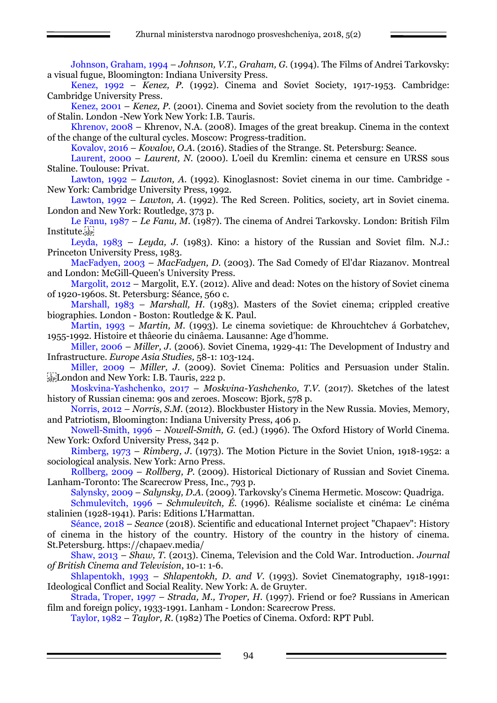Johnson, Graham, 1994 – *Johnson, V.T., Graham, G.* (1994). The Films of Andrei Tarkovsky: a visual fugue, Bloomington: Indiana University Press.

Kenez, 1992 – *Kenez, P.* (1992). Cinema and Soviet Society, 1917-1953. Cambridge: Cambridge University Press.

Kenez, 2001 – *Kenez, P.* (2001). Cinema and Soviet society from the revolution to the death of Stalin. London -New York New York: I.B. Tauris.

Khrenov, 2008 – Khrenov, N.A. (2008). Images of the great breakup. Cinema in the context of the change of the cultural cycles. Moscow: Progress-tradition.

Kovalov, 2016 – *Kovalov, O.A.* (2016). Stadies of the Strange. St. Petersburg: Seance.

Laurent, 2000 – *Laurent, N.* (2000). L'oeil du Kremlin: cinema et censure en URSS sous Staline. Toulouse: Privat.

Lawton, 1992 – *Lawton, A.* (1992). Kinoglasnost: Soviet cinema in our time. Cambridge - New York: Cambridge University Press, 1992.

Lawton, 1992 – *Lawton, A*. (1992). The Red Screen. Politics, society, art in Soviet cinema. London and New York: Routledge, 373 p.

Le Fanu, 1987 – *Le Fanu, M.* (1987). The cinema of Andrei Tarkovsky. London: British Film Institute.sip

Leyda, 1983 – *Leyda, J.* (1983). Kino: a history of the Russian and Soviet film. N.J.: Princeton University Press, 1983.

MacFadyen, 2003 – *MacFadyen, D.* (2003). The Sad Comedy of El'dar Riazanov. Montreal and London: McGill-Queen's University Press.

Margolit, 2012 – Margolit, E.Y. (2012). Alive and dead: Notes on the history of Soviet cinema of 1920-1960s. St. Petersburg: Séance, 560 с.

Marshall, 1983 – *Marshall, H.* (1983). Masters of the Soviet cinema; crippled creative biographies. London - Boston: Routledge & K. Paul.

Martin, 1993 – *Martin, M.* (1993). Le cinema sovietique: de Khrouchtchev á Gorbatchev, 1955-1992. Histoire et thâeorie du cinâema. Lausanne: Age d'homme.

Miller, 2006 – *Miller, J.* (2006). Soviet Cinema, 1929-41: The Development of Industry and Infrastructure. *Europe Asia Studies,* 58-1: 103-124.

Miller, 2009 – *Miller, J.* (2009). Soviet Cinema: Politics and Persuasion under Stalin.  $\frac{1}{25}$ London and New York: I.B. Tauris, 222 p.

Moskvina-Yashchenko, 2017 – *Moskvina-Yashchenko, T.V*. (2017). Sketches of the latest history of Russian cinema: 90s and zeroes. Moscow: Bjork, 578 p.

Norris, 2012 – *Norris, S.M.* (2012). Blockbuster History in the New Russia. Movies, Memory, and Patriotism, Bloomington: Indiana University Press, 406 p.

Nowell-Smith, 1996 – *Nowell-Smith, G.* (ed.) (1996). The Oxford History of World Cinema. New York: Oxford University Press, 342 p.

Rimberg, 1973 – *Rimberg, J.* (1973). The Motion Picture in the Soviet Union, 1918-1952: a sociological analysis. New York: Arno Press.

Rollberg, 2009 – *Rollberg, P.* (2009). Historical Dictionary of Russian and Soviet Cinema. Lanham-Toronto: The Scarecrow Press, Inc., 793 p.

Salynsky, 2009 – *Salynsky, D.A*. (2009). Tarkovsky's Cinema Hermetic. Moscow: Quadriga.

Schmulevitch, 1996 – *Schmulevitch, É.* (1996). Réalisme socialiste et cinéma: Le cinéma stalinien (1928-1941). Paris: Editions L'Harmattan.

Séance, 2018 – *Seance* (2018). Scientific and educational Internet project "Chapaev": History of cinema in the history of the country. History of the country in the history of cinema. St.Petersburg.<https://chapaev.media/>

Shaw, 2013 – *Shaw, T.* (2013). Cinema, Television and the Cold War. Introduction. *Journal of British Cinema and Television*, 10-1: 1-6.

Shlapentokh, 1993 – *Shlapentokh, D. and V.* (1993). Soviet Cinematography, 1918-1991: Ideological Conflict and Social Reality. New York: A. de Gruyter.

Strada, Troper, 1997 – *Strada, M., Troper, H.* (1997). Friend or foe? Russians in American film and foreign policy, 1933-1991. Lanham - London: Scarecrow Press.

Taylor, 1982 – *Taylor, R.* (1982) The Poetics of Cinema. Oxford: RPT Publ.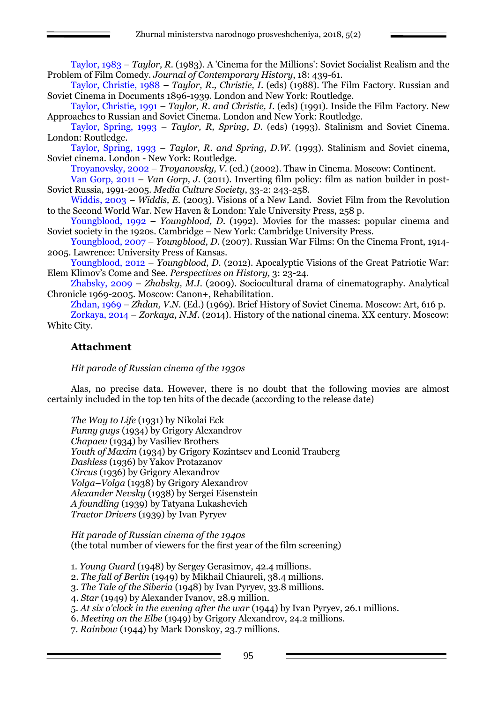Taylor, 1983 – *Taylor, R.* (1983). A 'Cinema for the Millions': Soviet Socialist Realism and the Problem of Film Comedy. *Journal of Contemporary History*, 18: 439-61.

Taylor, Christie, 1988 – *Taylor, R., Christie, I*. (eds) (1988). The Film Factory. Russian and Soviet Cinema in Documents 1896-1939. London and New York: Routledge.

Taylor, Christie, 1991 – *Taylor, R. and Christie, I*. (eds) (1991). Inside the Film Factory. New Approaches to Russian and Soviet Cinema. London and New York: Routledge.

Taylor, Spring, 1993 – *Taylor, R, Spring, D.* (eds) (1993). Stalinism and Soviet Cinema. London: Routledge.

Taylor, Spring, 1993 – *Taylor, R. and Spring, D.W.* (1993). Stalinism and Soviet cinema, Soviet cinema. London - New York: Routledge.

Troyanovsky, 2002 – *Troyanovsky, V.* (ed.) (2002). Thaw in Cinema. Moscow: Continent.

Van Gorp, 2011 – *Van Gorp, J.* (2011). Inverting film policy: film as nation builder in post-Soviet Russia, 1991-2005. *Media Culture Society*, 33-2: 243-258.

Widdis, 2003 – *Widdis, E.* (2003). Visions of a New Land. Soviet Film from the Revolution to the Second World War. New Haven & London: Yale University Press, 258 p.

Youngblood, 1992 – *Youngblood, D.* (1992). Movies for the masses: popular cinema and Soviet society in the 1920s. Cambridge – New York: Cambridge University Press.

Youngblood, 2007 – *Youngblood, D.* (2007). Russian War Films: On the Cinema Front, 1914- 2005. Lawrence: University Press of Kansas.

Youngblood, 2012 – *Youngblood, D.* (2012). Apocalyptic Visions of the Great Patriotic War: Elem Klimov's Come and See. *Perspectives on History,* 3: 23-24.

Zhabsky, 2009 – *Zhabsky, M.I.* (2009). Sociocultural drama of cinematography. Analytical Chronicle 1969-2005. Moscow: Canon+, Rehabilitation.

Zhdan, 1969 – *Zhdan, V.N.* (Ed.) (1969). Brief History of Soviet Cinema. Moscow: Art, 616 p. Zorkaya, 2014 – *Zorkaya, N.M*. (2014). History of the national cinema. XX century. Moscow: White City.

# **Attachment**

*Hit parade of Russian cinema of the 1930s*

Alas, no precise data. However, there is no doubt that the following movies are almost certainly included in the top ten hits of the decade (according to the release date)

*The Way to Life* (1931) by Nikolai Eck *Funny guys* (1934) by Grigory Alexandrov *Chapaev* (1934) by Vasiliev Brothers *Youth of Maxim* (1934) by Grigory Kozintsev and Leonid Trauberg *Dashless* (1936) by Yakov Protazanov *Circus* (1936) by Grigory Alexandrov *Volga–Volga* (1938) by Grigory Alexandrov *Alexander Nevsky* (1938) by Sergei Eisenstein *A foundling* (1939) by Tatyana Lukashevich *Tractor Drivers* (1939) by Ivan Pyryev

*Hit parade of Russian cinema of the 1940s*  (the total number of viewers for the first year of the film screening)

1. *Young Guard* (1948) by Sergey Gerasimov, 42.4 millions.

2. *The fall of Berlin* (1949) by Mikhail Chiaureli, 38.4 millions.

3. *The Tale of the Siberia* (1948) by Ivan Pyryev, 33.8 millions.

4. *Star* (1949) by Alexander Ivanov, 28.9 million.

5. *At six o'clock in the evening after the war* (1944) by Ivan Pyryev, 26.1 millions.

6. *Meeting on the Elbe* (1949) by Grigory Alexandrov, 24.2 millions.

7. *Rainbow* (1944) by Mark Donskoy, 23.7 millions.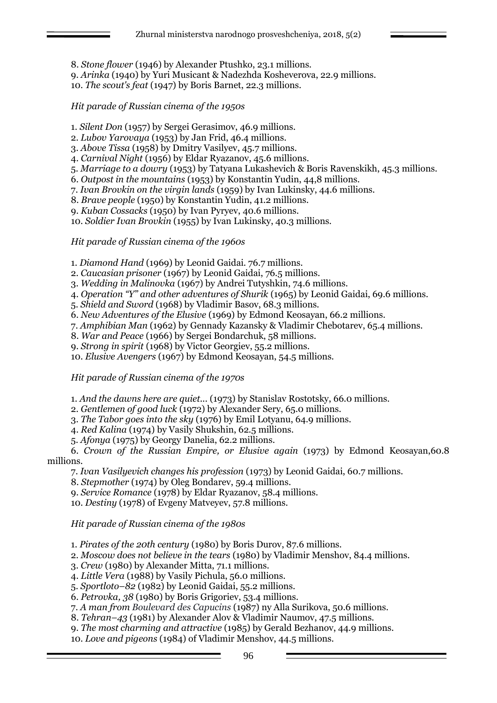8. *Stone flower* (1946) by Alexander Ptushko, 23.1 millions.

9. *Arinka* (1940) by Yuri Musicant & Nadezhda Kosheverova, 22.9 millions.

10. *The scout's feat* (1947) by Boris Barnet, 22.3 millions.

*Hit parade of Russian cinema of the 1950s*

1. *Silent Don* (1957) by Sergei Gerasimov, 46.9 millions.

2. *Lubov Yarovaya* (1953) by Jan Frid, 46.4 millions.

3. *Above Tissa* (1958) by Dmitry Vasilyev, 45.7 millions.

4. *Carnival Night* (1956) by Eldar Ryazanov, 45.6 millions.

5. *Marriage to a dowry* (1953) by Tatyana Lukashevich & Boris Ravenskikh, 45.3 millions.

6. *Outpost in the mountains* (1953) by Konstantin Yudin, 44,8 millions.

7. *Ivan Brovkin on the virgin lands* (1959) by Ivan Lukinsky, 44.6 millions.

8. *Brave people* (1950) by Konstantin Yudin, 41.2 millions.

9. *Kuban Cossacks* (1950) by Ivan Pyryev, 40.6 millions.

10. *Soldier Ivan Brovkin* (1955) by Ivan Lukinsky, 40.3 millions.

*Hit parade of Russian cinema of the 1960s*

1. *Diamond Hand* (1969) by Leonid Gaidai. 76.7 millions.

2. *Caucasian prisoner* (1967) by Leonid Gaidai, 76.5 millions.

3. *Wedding in Malinovka* (1967) by Andrei Tutyshkin, 74.6 millions.

4. *Operation "Y" and other adventures of Shurik* (1965) by Leonid Gaidai, 69.6 millions.

5. *Shield and Sword* (1968) by Vladimir Basov, 68.3 millions.

6. *New Adventures of the Elusive* (1969) by Edmond Keosayan, 66.2 millions.

7. *Amphibian Man* (1962) by Gennady Kazansky & Vladimir Chebotarev, 65.4 millions.

8. *War and Peace* (1966) by Sergei Bondarchuk, 58 millions.

9. *Strong in spirit* (1968) by Victor Georgiev, 55.2 millions.

10. *Elusive Avengers* (1967) by Edmond Keosayan, 54.5 millions.

*Hit parade of Russian cinema of the 1970s*

1. *And the dawns here are quiet...* (1973) by Stanislav Rostotsky, 66.0 millions.

2. *Gentlemen of good luck* (1972) by Alexander Sery, 65.0 millions.

3. *The Tabor goes into the sky* (1976) by Emil Lotyanu, 64.9 millions.

4. *Red Kalina* (1974) by Vasily Shukshin, 62.5 millions.

5. *Afonya* (1975) by Georgy Danelia, 62.2 millions.

6. *Crown of the Russian Empire, or Elusive again* (1973) by Edmond Keosayan,60.8 millions.

7. *Ivan Vasilyevich changes his profession* (1973) by Leonid Gaidai, 60.7 millions.

8. *Stepmother* (1974) by Oleg Bondarev, 59.4 millions.

9. *Service Romance* (1978) by Eldar Ryazanov, 58.4 millions.

10. *Destiny* (1978) of Evgeny Matveyev, 57.8 millions.

*Hit parade of Russian cinema of the 1980s*

1. *Pirates of the 20th century* (1980) by Boris Durov, 87.6 millions.

2. *Moscow does not believe in the tears* (1980) by Vladimir Menshov, 84.4 millions.

3. *Crew* (1980) by Alexander Mitta, 71.1 millions.

4. *Little Vera* (1988) by Vasily Pichula, 56.0 millions.

5. *Sportloto–82* (1982) by Leonid Gaidai, 55.2 millions.

6. *Petrovka, 38* (1980) by Boris Grigoriev, 53.4 millions.

7. *A man from Boulevard des Capucins* (1987) ny Alla Surikova, 50.6 millions.

8. *Tehran–43* (1981) by Alexander Alov & Vladimir Naumov, 47.5 millions.

9. *The most charming and attractive* (1985) by Gerald Bezhanov, 44.9 millions.

10. *Love and pigeons* (1984) of Vladimir Menshov, 44.5 millions.